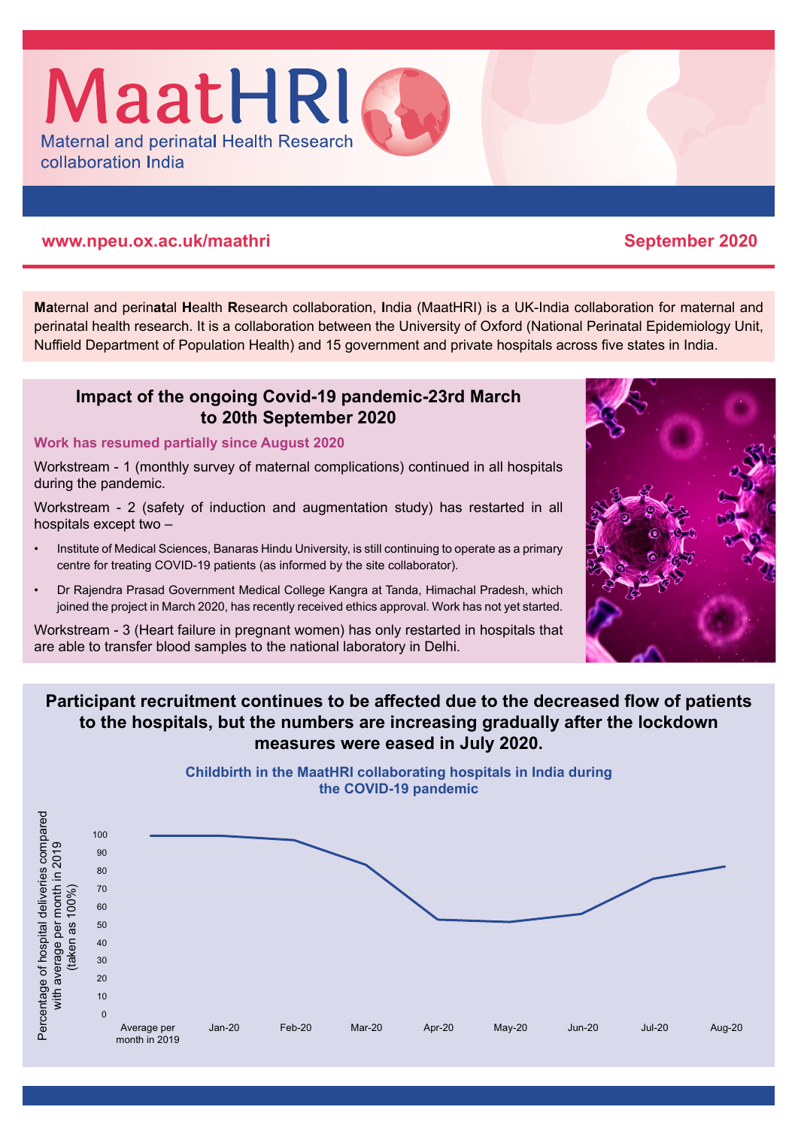#### **www.npeu.ox.ac.uk/maathri September 2020**

collaboration India

**Ma**ternal and perin**at**al **H**ealth **R**esearch collaboration, **I**ndia (MaatHRI) is a UK-India collaboration for maternal and perinatal health research. It is a collaboration between the University of Oxford (National Perinatal Epidemiology Unit, Nuffield Department of Population Health) and 15 government and private hospitals across five states in India.

#### **Impact of the ongoing Covid-19 pandemic-23rd March to 20th September 2020**

#### **Work has resumed partially since August 2020**

Workstream - 1 (monthly survey of maternal complications) continued in all hospitals during the pandemic.

Workstream - 2 (safety of induction and augmentation study) has restarted in all hospitals except two –

- Institute of Medical Sciences, Banaras Hindu University, is still continuing to operate as a primary centre for treating COVID-19 patients (as informed by the site collaborator).
- Dr Rajendra Prasad Government Medical College Kangra at Tanda, Himachal Pradesh, which joined the project in March 2020, has recently received ethics approval. Work has not yet started.

Workstream - 3 (Heart failure in pregnant women) has only restarted in hospitals that are able to transfer blood samples to the national laboratory in Delhi.

### **Participant recruitment continues to be affected due to the decreased flow of patients to the hospitals, but the numbers are increasing gradually after the lockdown measures were eased in July 2020.**

**Childbirth in the MaatHRI collaborating hospitals in India during**